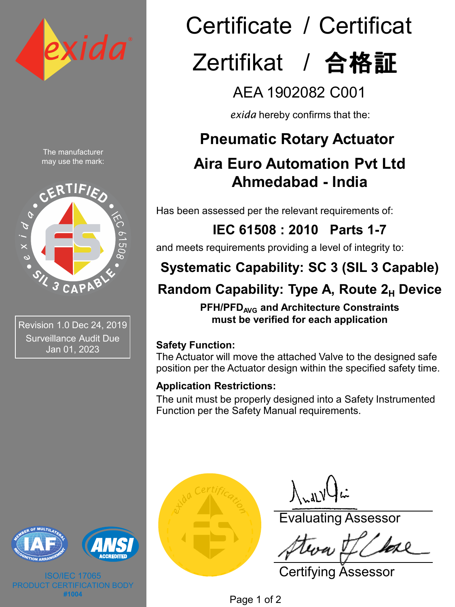

The manufacturer may use the mark:



Revision 1.0 Dec 24, 2019 Surveillance Audit Due Jan 01, 2023



ISO/IEC 17065 **CATION BODY #1004**

# Certificate / Certificat Zertifikat / 合格証

## AEA 1902082 C001

*exida* hereby confirms that the:

### **Pneumatic Rotary Actuator**

### **Aira Euro Automation Pvt Ltd Ahmedabad - India**

Has been assessed per the relevant requirements of:

### **IEC 61508 : 2010 Parts 1-7**

and meets requirements providing a level of integrity to:

### **Systematic Capability: SC 3 (SIL 3 Capable)**

### **Random Capability: Type A, Route 2<sub>H</sub> Device**

**PFH/PFDAVG and Architecture Constraints must be verified for each application**

#### **Safety Function:**

The Actuator will move the attached Valve to the designed safe position per the Actuator design within the specified safety time.

#### **Application Restrictions:**

The unit must be properly designed into a Safety Instrumented Function per the Safety Manual requirements.



 $\int_{\mathcal{M}} d\mathcal{N}$ 

Evaluating Assessor

Certifying Assessor

Page 1 of 2